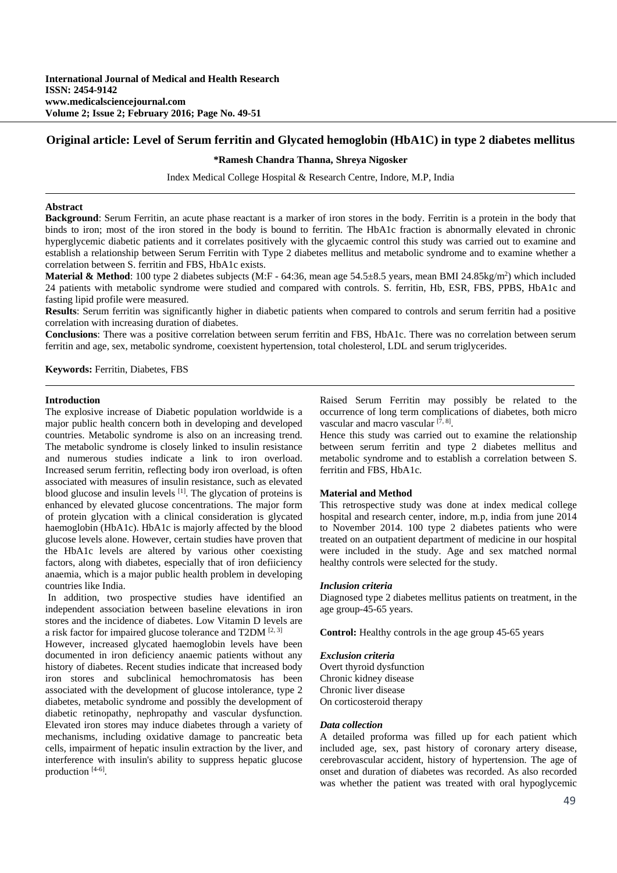# **Original article: Level of Serum ferritin and Glycated hemoglobin (HbA1C) in type 2 diabetes mellitus**

## **\*Ramesh Chandra Thanna, Shreya Nigosker**

Index Medical College Hospital & Research Centre, Indore, M.P, India

#### **Abstract**

**Background**: Serum Ferritin, an acute phase reactant is a marker of iron stores in the body. Ferritin is a protein in the body that binds to iron; most of the iron stored in the body is bound to ferritin. The HbA1c fraction is abnormally elevated in chronic hyperglycemic diabetic patients and it correlates positively with the glycaemic control this study was carried out to examine and establish a relationship between Serum Ferritin with Type 2 diabetes mellitus and metabolic syndrome and to examine whether a correlation between S. ferritin and FBS, HbA1c exists.

**Material & Method**: 100 type 2 diabetes subjects (M:F  $-$  64:36, mean age 54.5 $\pm$ 8.5 years, mean BMI 24.85kg/m<sup>2</sup>) which included 24 patients with metabolic syndrome were studied and compared with controls. S. ferritin, Hb, ESR, FBS, PPBS, HbA1c and fasting lipid profile were measured.

**Results**: Serum ferritin was significantly higher in diabetic patients when compared to controls and serum ferritin had a positive correlation with increasing duration of diabetes.

**Conclusions**: There was a positive correlation between serum ferritin and FBS, HbA1c. There was no correlation between serum ferritin and age, sex, metabolic syndrome, coexistent hypertension, total cholesterol, LDL and serum triglycerides.

**Keywords:** Ferritin, Diabetes, FBS

#### **Introduction**

The explosive increase of Diabetic population worldwide is a major public health concern both in developing and developed countries. Metabolic syndrome is also on an increasing trend. The metabolic syndrome is closely linked to insulin resistance and numerous studies indicate a link to iron overload. Increased serum ferritin, reflecting body iron overload, is often associated with measures of insulin resistance, such as elevated blood glucose and insulin levels <sup>[1]</sup>. The glycation of proteins is enhanced by elevated glucose concentrations. The major form of protein glycation with a clinical consideration is glycated haemoglobin (HbA1c). HbA1c is majorly affected by the blood glucose levels alone. However, certain studies have proven that the HbA1c levels are altered by various other coexisting factors, along with diabetes, especially that of iron defiiciency anaemia, which is a major public health problem in developing countries like India.

 In addition, two prospective studies have identified an independent association between baseline elevations in iron stores and the incidence of diabetes. Low Vitamin D levels are a risk factor for impaired glucose tolerance and T2DM [2, 3]

However, increased glycated haemoglobin levels have been documented in iron deficiency anaemic patients without any history of diabetes. Recent studies indicate that increased body iron stores and subclinical hemochromatosis has been associated with the development of glucose intolerance, type 2 diabetes, metabolic syndrome and possibly the development of diabetic retinopathy, nephropathy and vascular dysfunction. Elevated iron stores may induce diabetes through a variety of mechanisms, including oxidative damage to pancreatic beta cells, impairment of hepatic insulin extraction by the liver, and interference with insulin's ability to suppress hepatic glucose production [4-6].

Raised Serum Ferritin may possibly be related to the occurrence of long term complications of diabetes, both micro vascular and macro vascular  $[7, 8]$ .

Hence this study was carried out to examine the relationship between serum ferritin and type 2 diabetes mellitus and metabolic syndrome and to establish a correlation between S. ferritin and FBS, HbA1c.

## **Material and Method**

This retrospective study was done at index medical college hospital and research center, indore, m.p, india from june 2014 to November 2014. 100 type 2 diabetes patients who were treated on an outpatient department of medicine in our hospital were included in the study. Age and sex matched normal healthy controls were selected for the study.

#### *Inclusion criteria*

Diagnosed type 2 diabetes mellitus patients on treatment, in the age group-45-65 years.

**Control:** Healthy controls in the age group 45-65 years

### *Exclusion criteria*

Overt thyroid dysfunction Chronic kidney disease Chronic liver disease On corticosteroid therapy

## *Data collection*

A detailed proforma was filled up for each patient which included age, sex, past history of coronary artery disease, cerebrovascular accident, history of hypertension. The age of onset and duration of diabetes was recorded. As also recorded was whether the patient was treated with oral hypoglycemic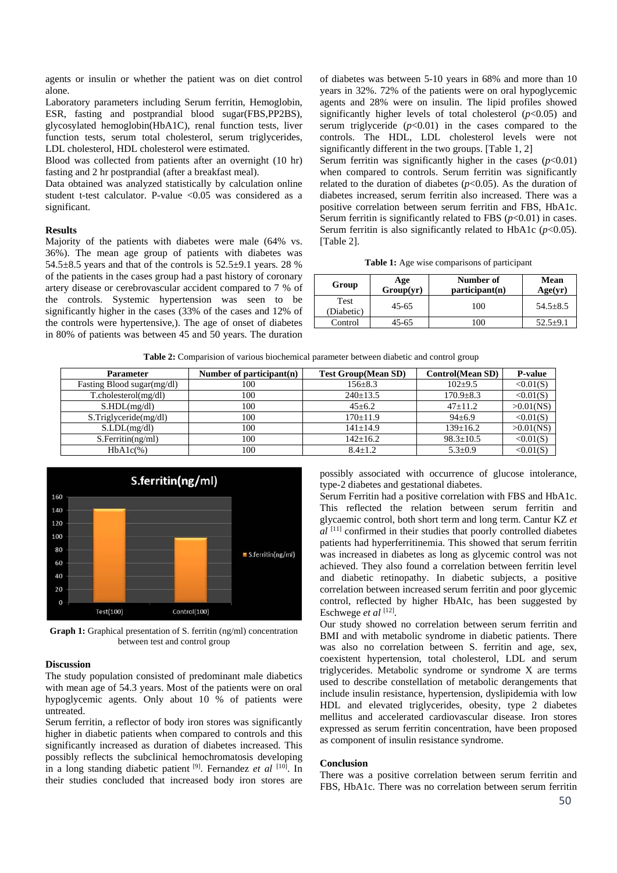agents or insulin or whether the patient was on diet control alone.

Laboratory parameters including Serum ferritin, Hemoglobin, ESR, fasting and postprandial blood sugar(FBS,PP2BS), glycosylated hemoglobin(HbA1C), renal function tests, liver function tests, serum total cholesterol, serum triglycerides, LDL cholesterol, HDL cholesterol were estimated.

Blood was collected from patients after an overnight (10 hr) fasting and 2 hr postprandial (after a breakfast meal).

Data obtained was analyzed statistically by calculation online student t-test calculator. P-value  $\langle 0.05 \rangle$  was considered as a significant.

#### **Results**

Majority of the patients with diabetes were male (64% vs. 36%). The mean age group of patients with diabetes was  $54.5\pm8.5$  years and that of the controls is  $52.5\pm9.1$  years. 28 % of the patients in the cases group had a past history of coronary artery disease or cerebrovascular accident compared to 7 % of the controls. Systemic hypertension was seen to be significantly higher in the cases (33% of the cases and 12% of the controls were hypertensive,). The age of onset of diabetes in 80% of patients was between 45 and 50 years. The duration

of diabetes was between 5-10 years in 68% and more than 10 years in 32%. 72% of the patients were on oral hypoglycemic agents and 28% were on insulin. The lipid profiles showed significantly higher levels of total cholesterol  $(p<0.05)$  and serum triglyceride  $(p<0.01)$  in the cases compared to the controls. The HDL, LDL cholesterol levels were not significantly different in the two groups. [Table 1, 2]

Serum ferritin was significantly higher in the cases  $(p<0.01)$ when compared to controls. Serum ferritin was significantly related to the duration of diabetes  $(p<0.05)$ . As the duration of diabetes increased, serum ferritin also increased. There was a positive correlation between serum ferritin and FBS, HbA1c. Serum ferritin is significantly related to FBS  $(p<0.01)$  in cases. Serum ferritin is also significantly related to HbA1c  $(p<0.05)$ . [Table 2].

**Table 1:** Age wise comparisons of participant

| Group                     | Age<br>Group(yr) | Number of<br>participant(n) | <b>Mean</b><br>Age(yr) |
|---------------------------|------------------|-----------------------------|------------------------|
| <b>Test</b><br>(Diabetic) | $45 - 65$        | 100                         | $54.5 \pm 8.5$         |
| Control                   | 45-65            | 00                          | $52.5+9.$              |

**Table 2:** Comparision of various biochemical parameter between diabetic and control group

| <b>Parameter</b>             | Number of participant $(n)$ | <b>Test Group</b> (Mean SD) | <b>Control</b> (Mean SD) | <b>P-value</b> |
|------------------------------|-----------------------------|-----------------------------|--------------------------|----------------|
| Fasting Blood sugar(mg/dl)   | 100                         | $156 \pm 8.3$               | $102+9.5$                | <0.01(S)       |
| $T.$ cholesterol $(mg/dl)$   | 100                         | $240 \pm 13.5$              | $170.9 \pm 8.3$          | <0.01(S)       |
| S.HDL(mg/dl)                 | 100                         | $45 + 6.2$                  | $47+11.2$                | $>0.01$ (NS)   |
| $S$ . Triglyceride $(mg/dl)$ | 100                         | $170+11.9$                  | $94 + 6.9$               | <0.01(S)       |
| S.LDL(mg/dl)                 | 100                         | $141 + 14.9$                | $139 \pm 16.2$           | $>0.01$ (NS)   |
| S.Ferritin(ng/ml)            | 100                         | $142 + 16.2$                | $98.3 \pm 10.5$          | <0.01(S)       |
| $HbA1c(\%)$                  | 100                         | $8.4 + 1.2$                 | $5.3 \pm 0.9$            | <0.01(S)       |



**Graph 1:** Graphical presentation of S. ferritin (ng/ml) concentration between test and control group

# **Discussion**

The study population consisted of predominant male diabetics with mean age of 54.3 years. Most of the patients were on oral hypoglycemic agents. Only about 10 % of patients were untreated.

Serum ferritin, a reflector of body iron stores was significantly higher in diabetic patients when compared to controls and this significantly increased as duration of diabetes increased. This possibly reflects the subclinical hemochromatosis developing in a long standing diabetic patient [9]. Fernandez *et al* [10]. In their studies concluded that increased body iron stores are

possibly associated with occurrence of glucose intolerance, type-2 diabetes and gestational diabetes.

Serum Ferritin had a positive correlation with FBS and HbA1c. This reflected the relation between serum ferritin and glycaemic control, both short term and long term. Cantur KZ *et al* <sup>[11]</sup> confirmed in their studies that poorly controlled diabetes patients had hyperferritinemia. This showed that serum ferritin was increased in diabetes as long as glycemic control was not achieved. They also found a correlation between ferritin level and diabetic retinopathy. In diabetic subjects, a positive correlation between increased serum ferritin and poor glycemic control, reflected by higher HbAIc, has been suggested by Eschwege *et al* [12].

Our study showed no correlation between serum ferritin and BMI and with metabolic syndrome in diabetic patients. There was also no correlation between S. ferritin and age, sex, coexistent hypertension, total cholesterol, LDL and serum triglycerides. Metabolic syndrome or syndrome X are terms used to describe constellation of metabolic derangements that include insulin resistance, hypertension, dyslipidemia with low HDL and elevated triglycerides, obesity, type 2 diabetes mellitus and accelerated cardiovascular disease. Iron stores expressed as serum ferritin concentration, have been proposed as component of insulin resistance syndrome.

## **Conclusion**

There was a positive correlation between serum ferritin and FBS, HbA1c. There was no correlation between serum ferritin